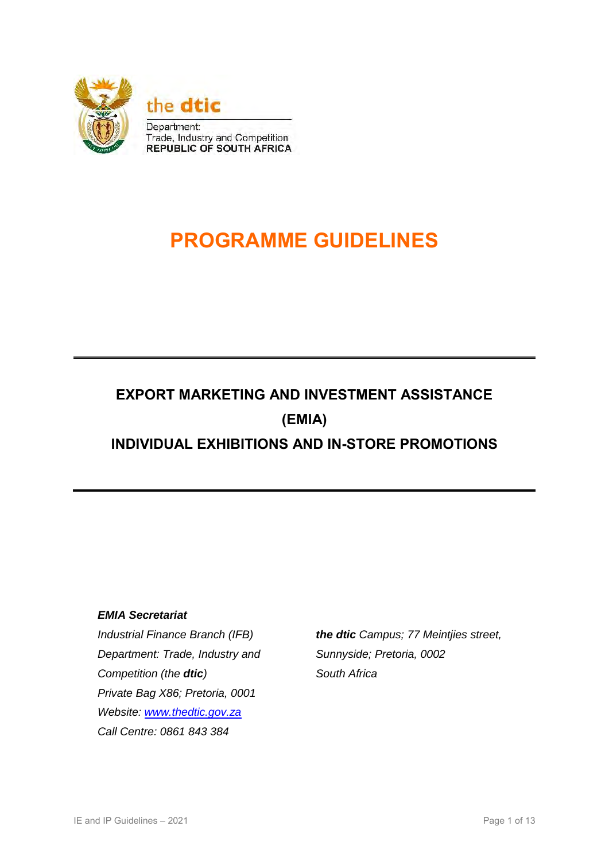

# **PROGRAMME GUIDELINES**

## **EXPORT MARKETING AND INVESTMENT ASSISTANCE (EMIA) INDIVIDUAL EXHIBITIONS AND IN-STORE PROMOTIONS**

#### *EMIA Secretariat*

*Industrial Finance Branch (IFB) Department: Trade, Industry and Competition (the dtic) Private Bag X86; Pretoria, 0001 Website: [www.thedtic.gov.za](http://www.thedtic.gov.za/) Call Centre: 0861 843 384* 

*the dtic Campus; 77 Meintjies street, Sunnyside; Pretoria, 0002 South Africa*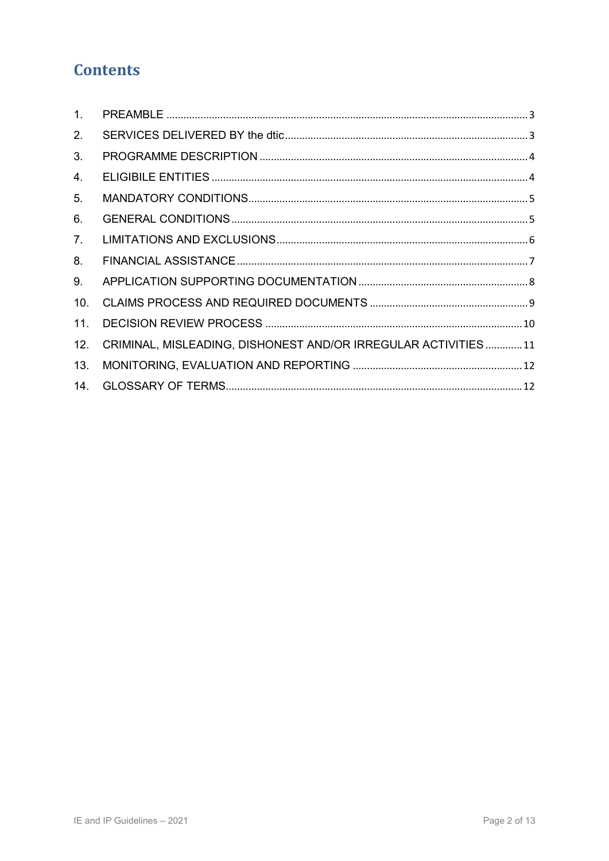### **Contents**

| 1 <sub>1</sub> |                                                               |  |
|----------------|---------------------------------------------------------------|--|
| 2.             |                                                               |  |
| 3.             |                                                               |  |
| 4.             |                                                               |  |
| 5.             |                                                               |  |
| 6.             |                                                               |  |
| 7.             |                                                               |  |
| 8.             |                                                               |  |
| 9.             |                                                               |  |
| 10.            |                                                               |  |
| 11.            |                                                               |  |
| 12.            | CRIMINAL, MISLEADING, DISHONEST AND/OR IRREGULAR ACTIVITIES11 |  |
| 13.            |                                                               |  |
| 14.            |                                                               |  |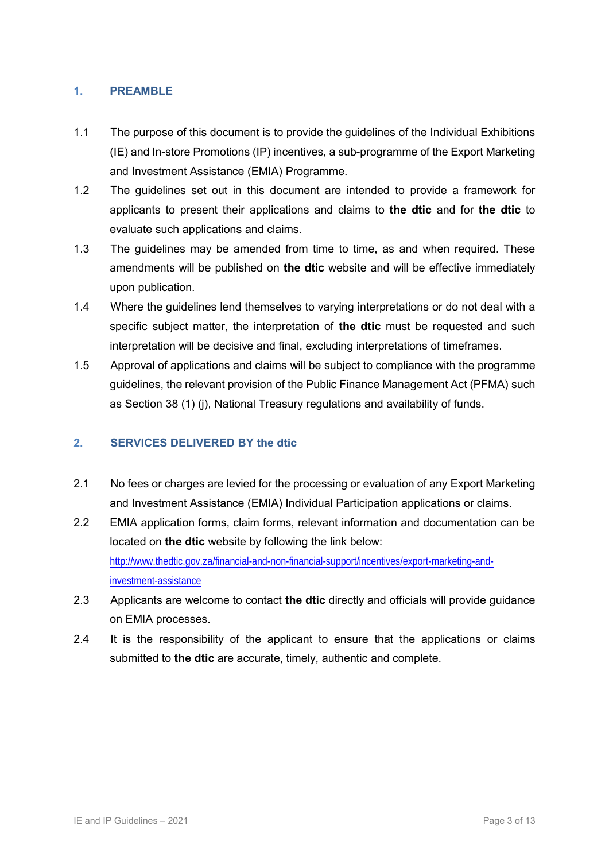#### <span id="page-2-0"></span>**1. PREAMBLE**

- 1.1 The purpose of this document is to provide the guidelines of the Individual Exhibitions (IE) and In-store Promotions (IP) incentives, a sub-programme of the Export Marketing and Investment Assistance (EMIA) Programme.
- 1.2 The guidelines set out in this document are intended to provide a framework for applicants to present their applications and claims to **the dtic** and for **the dtic** to evaluate such applications and claims.
- 1.3 The guidelines may be amended from time to time, as and when required. These amendments will be published on **the dtic** website and will be effective immediately upon publication.
- 1.4 Where the guidelines lend themselves to varying interpretations or do not deal with a specific subject matter, the interpretation of **the dtic** must be requested and such interpretation will be decisive and final, excluding interpretations of timeframes.
- 1.5 Approval of applications and claims will be subject to compliance with the programme guidelines, the relevant provision of the Public Finance Management Act (PFMA) such as Section 38 (1) (j), National Treasury regulations and availability of funds.

#### <span id="page-2-1"></span>**2. SERVICES DELIVERED BY the dtic**

- 2.1 No fees or charges are levied for the processing or evaluation of any Export Marketing and Investment Assistance (EMIA) Individual Participation applications or claims.
- 2.2 EMIA application forms, claim forms, relevant information and documentation can be located on **the dtic** website by following the link below: [http://www.thedtic.gov.za/financial-and-non-financial-support/incentives/export-marketing-and](http://www.thedtic.gov.za/financial-and-non-financial-support/incentives/export-marketing-and-investment-assistance)[investment-assistance](http://www.thedtic.gov.za/financial-and-non-financial-support/incentives/export-marketing-and-investment-assistance)
- 2.3 Applicants are welcome to contact **the dtic** directly and officials will provide guidance on EMIA processes.
- 2.4 It is the responsibility of the applicant to ensure that the applications or claims submitted to **the dtic** are accurate, timely, authentic and complete.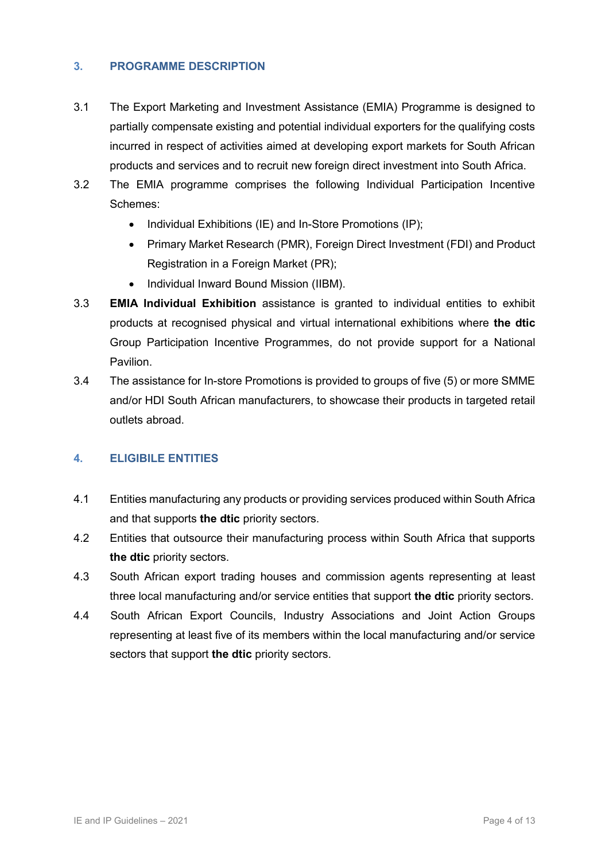#### <span id="page-3-0"></span>**3. PROGRAMME DESCRIPTION**

- 3.1 The Export Marketing and Investment Assistance (EMIA) Programme is designed to partially compensate existing and potential individual exporters for the qualifying costs incurred in respect of activities aimed at developing export markets for South African products and services and to recruit new foreign direct investment into South Africa.
- 3.2 The EMIA programme comprises the following Individual Participation Incentive Schemes:
	- $\bullet$  Individual Exhibitions (IE) and In-Store Promotions (IP);
	- Primary Market Research (PMR), Foreign Direct Investment (FDI) and Product Registration in a Foreign Market (PR);
	- Individual Inward Bound Mission (IIBM).
- 3.3 **EMIA Individual Exhibition** assistance is granted to individual entities to exhibit products at recognised physical and virtual international exhibitions where **the dtic** Group Participation Incentive Programmes, do not provide support for a National Pavilion.
- 3.4 The assistance for In-store Promotions is provided to groups of five (5) or more SMME and/or HDI South African manufacturers, to showcase their products in targeted retail outlets abroad.

#### <span id="page-3-1"></span>**4. ELIGIBILE ENTITIES**

- 4.1 Entities manufacturing any products or providing services produced within South Africa and that supports **the dtic** priority sectors.
- 4.2 Entities that outsource their manufacturing process within South Africa that supports **the dtic** priority sectors.
- 4.3 South African export trading houses and commission agents representing at least three local manufacturing and/or service entities that support **the dtic** priority sectors.
- 4.4 South African Export Councils, Industry Associations and Joint Action Groups representing at least five of its members within the local manufacturing and/or service sectors that support **the dtic** priority sectors.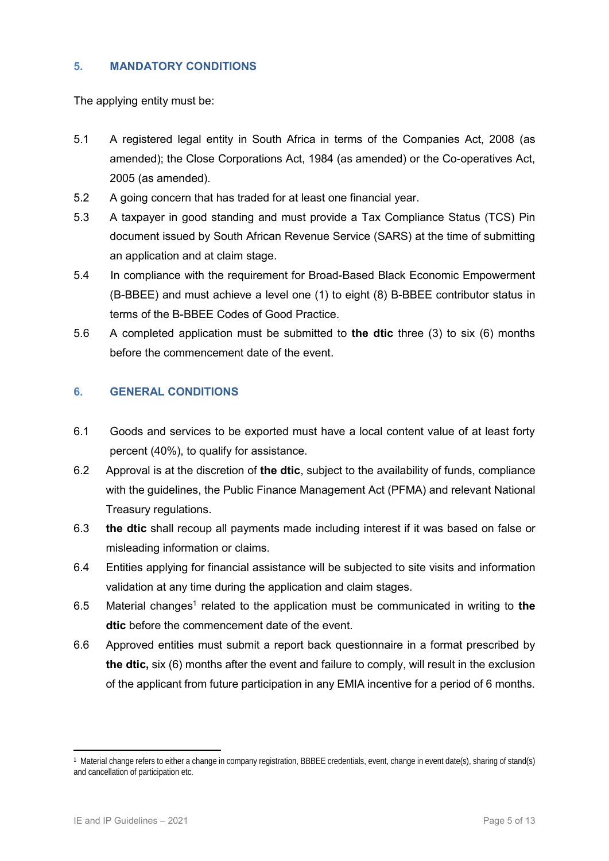#### <span id="page-4-0"></span>**5. MANDATORY CONDITIONS**

The applying entity must be:

- 5.1 A registered legal entity in South Africa in terms of the Companies Act, 2008 (as amended); the Close Corporations Act, 1984 (as amended) or the Co-operatives Act, 2005 (as amended).
- 5.2 A going concern that has traded for at least one financial year.
- 5.3 A taxpayer in good standing and must provide a Tax Compliance Status (TCS) Pin document issued by South African Revenue Service (SARS) at the time of submitting an application and at claim stage.
- 5.4 In compliance with the requirement for Broad-Based Black Economic Empowerment (B-BBEE) and must achieve a level one (1) to eight (8) B-BBEE contributor status in terms of the B-BBEE Codes of Good Practice.
- 5.6 A completed application must be submitted to **the dtic** three (3) to six (6) months before the commencement date of the event.

#### <span id="page-4-1"></span>**6. GENERAL CONDITIONS**

- 6.1 Goods and services to be exported must have a local content value of at least forty percent (40%), to qualify for assistance.
- 6.2 Approval is at the discretion of **the dtic**, subject to the availability of funds, compliance with the guidelines, the Public Finance Management Act (PFMA) and relevant National Treasury regulations.
- 6.3 **the dtic** shall recoup all payments made including interest if it was based on false or misleading information or claims.
- 6.4 Entities applying for financial assistance will be subjected to site visits and information validation at any time during the application and claim stages.
- 6.5 Material changes<sup>1</sup> related to the application must be communicated in writing to the **dtic** before the commencement date of the event.
- 6.6 Approved entities must submit a report back questionnaire in a format prescribed by **the dtic,** six (6) months after the event and failure to comply, will result in the exclusion of the applicant from future participation in any EMIA incentive for a period of 6 months.

**<sup>.</sup>** 1 Material change refers to either a change in company registration, BBBEE credentials, event, change in event date(s), sharing of stand(s) and cancellation of participation etc.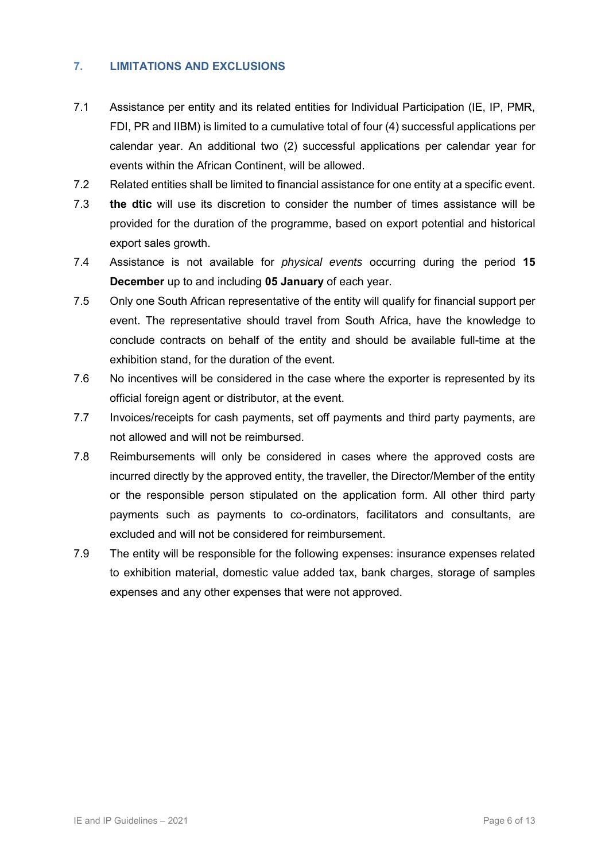#### <span id="page-5-0"></span>**7. LIMITATIONS AND EXCLUSIONS**

- 7.1 Assistance per entity and its related entities for Individual Participation (IE, IP, PMR, FDI, PR and IIBM) is limited to a cumulative total of four (4) successful applications per calendar year. An additional two (2) successful applications per calendar year for events within the African Continent, will be allowed.
- 7.2 Related entities shall be limited to financial assistance for one entity at a specific event.
- 7.3 **the dtic** will use its discretion to consider the number of times assistance will be provided for the duration of the programme, based on export potential and historical export sales growth.
- 7.4 Assistance is not available for *physical events* occurring during the period **15 December** up to and including **05 January** of each year.
- 7.5 Only one South African representative of the entity will qualify for financial support per event. The representative should travel from South Africa, have the knowledge to conclude contracts on behalf of the entity and should be available full-time at the exhibition stand, for the duration of the event.
- 7.6 No incentives will be considered in the case where the exporter is represented by its official foreign agent or distributor, at the event.
- 7.7 Invoices/receipts for cash payments, set off payments and third party payments, are not allowed and will not be reimbursed.
- 7.8 Reimbursements will only be considered in cases where the approved costs are incurred directly by the approved entity, the traveller, the Director/Member of the entity or the responsible person stipulated on the application form. All other third party payments such as payments to co-ordinators, facilitators and consultants, are excluded and will not be considered for reimbursement.
- 7.9 The entity will be responsible for the following expenses: insurance expenses related to exhibition material, domestic value added tax, bank charges, storage of samples expenses and any other expenses that were not approved.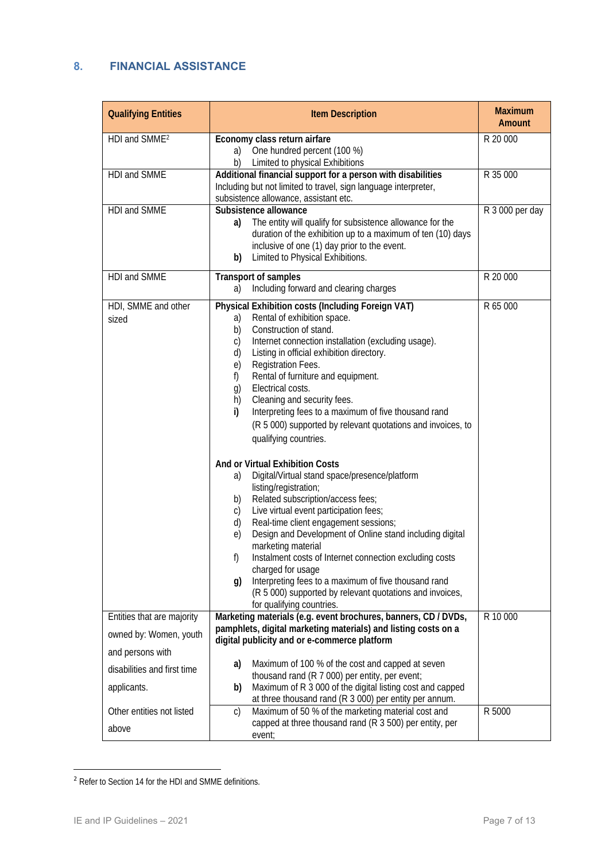#### <span id="page-6-0"></span>**8. FINANCIAL ASSISTANCE**

| <b>Qualifying Entities</b>                                                                              | Item Description                                                                                                                                                                                                                                                                                                                                                                                                                                                                                                                                                                                                     | Maximum<br>Amount |
|---------------------------------------------------------------------------------------------------------|----------------------------------------------------------------------------------------------------------------------------------------------------------------------------------------------------------------------------------------------------------------------------------------------------------------------------------------------------------------------------------------------------------------------------------------------------------------------------------------------------------------------------------------------------------------------------------------------------------------------|-------------------|
| HDI and SMME <sup>2</sup>                                                                               | Economy class return airfare<br>One hundred percent (100 %)<br>a)<br>b)<br>Limited to physical Exhibitions                                                                                                                                                                                                                                                                                                                                                                                                                                                                                                           | R 20 000          |
| HDI and SMME                                                                                            | Additional financial support for a person with disabilities<br>Including but not limited to travel, sign language interpreter,<br>subsistence allowance, assistant etc.                                                                                                                                                                                                                                                                                                                                                                                                                                              | R 35 000          |
| HDI and SMME                                                                                            | Subsistence allowance<br>The entity will qualify for subsistence allowance for the<br>a)<br>duration of the exhibition up to a maximum of ten (10) days<br>inclusive of one (1) day prior to the event.<br>Limited to Physical Exhibitions.<br>b)                                                                                                                                                                                                                                                                                                                                                                    | R 3 000 per day   |
| HDI and SMME                                                                                            | Transport of samples<br>Including forward and clearing charges<br>a)                                                                                                                                                                                                                                                                                                                                                                                                                                                                                                                                                 | R 20 000          |
| HDI, SMME and other<br>sized                                                                            | Physical Exhibition costs (Including Foreign VAT)<br>Rental of exhibition space.<br>a)<br>Construction of stand.<br>b)<br>Internet connection installation (excluding usage).<br>$\mathsf{C}$<br>Listing in official exhibition directory.<br>d)<br>Registration Fees.<br>$\Theta$ )<br>Rental of furniture and equipment.<br>f)<br>Electrical costs.<br>$\left( \right)$<br>h)<br>Cleaning and security fees.<br>Interpreting fees to a maximum of five thousand rand<br>$\mathsf{i}$<br>(R 5 000) supported by relevant quotations and invoices, to<br>qualifying countries.                                       | R 65 000          |
|                                                                                                         | And or Virtual Exhibition Costs<br>Digital/Virtual stand space/presence/platform<br>a)<br>listing/registration;<br>Related subscription/access fees;<br>b)<br>Live virtual event participation fees;<br>C)<br>Real-time client engagement sessions;<br>d)<br>Design and Development of Online stand including digital<br>$\Theta$ )<br>marketing material<br>Instalment costs of Internet connection excluding costs<br>f)<br>charged for usage<br>Interpreting fees to a maximum of five thousand rand<br>$\mathfrak{g}$ )<br>(R 5 000) supported by relevant quotations and invoices,<br>for qualifying countries. |                   |
| Entities that are majority<br>owned by: Women, youth<br>and persons with<br>disabilities and first time | Marketing materials (e.g. event brochures, banners, CD / DVDs,<br>pamphlets, digital marketing materials) and listing costs on a<br>digital publicity and or e-commerce platform<br>Maximum of 100 % of the cost and capped at seven<br>a)                                                                                                                                                                                                                                                                                                                                                                           | R 10 000          |
| applicants.                                                                                             | thousand rand (R 7 000) per entity, per event;<br>Maximum of R 3 000 of the digital listing cost and capped<br>b)<br>at three thousand rand (R 3 000) per entity per annum.                                                                                                                                                                                                                                                                                                                                                                                                                                          |                   |
| Other entities not listed<br>above                                                                      | Maximum of 50 % of the marketing material cost and<br>$\mathsf{C}$<br>capped at three thousand rand (R 3 500) per entity, per<br>event;                                                                                                                                                                                                                                                                                                                                                                                                                                                                              | R 5000            |

<sup>&</sup>lt;sup>2</sup> Refer to Section 14 for the HDI and SMME definitions.

**.**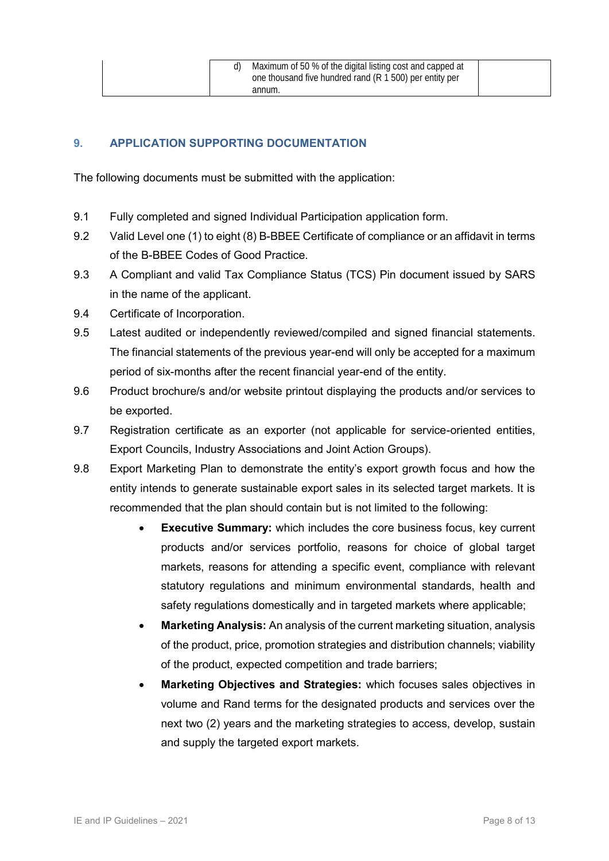#### <span id="page-7-0"></span>**9. APPLICATION SUPPORTING DOCUMENTATION**

The following documents must be submitted with the application:

- 9.1 Fully completed and signed Individual Participation application form.
- 9.2 Valid Level one (1) to eight (8) B-BBEE Certificate of compliance or an affidavit in terms of the B-BBEE Codes of Good Practice.
- 9.3 A Compliant and valid Tax Compliance Status (TCS) Pin document issued by SARS in the name of the applicant.
- 9.4 Certificate of Incorporation.
- 9.5 Latest audited or independently reviewed/compiled and signed financial statements. The financial statements of the previous year-end will only be accepted for a maximum period of six-months after the recent financial year-end of the entity.
- 9.6 Product brochure/s and/or website printout displaying the products and/or services to be exported.
- 9.7 Registration certificate as an exporter (not applicable for service-oriented entities, Export Councils, Industry Associations and Joint Action Groups).
- 9.8 Export Marketing Plan to demonstrate the entity's export growth focus and how the entity intends to generate sustainable export sales in its selected target markets. It is recommended that the plan should contain but is not limited to the following:
	- **Executive Summary:** which includes the core business focus, key current products and/or services portfolio, reasons for choice of global target markets, reasons for attending a specific event, compliance with relevant statutory regulations and minimum environmental standards, health and safety regulations domestically and in targeted markets where applicable;
	- **Marketing Analysis:** An analysis of the current marketing situation, analysis of the product, price, promotion strategies and distribution channels; viability of the product, expected competition and trade barriers;
	- **Marketing Objectives and Strategies:** which focuses sales objectives in volume and Rand terms for the designated products and services over the next two (2) years and the marketing strategies to access, develop, sustain and supply the targeted export markets.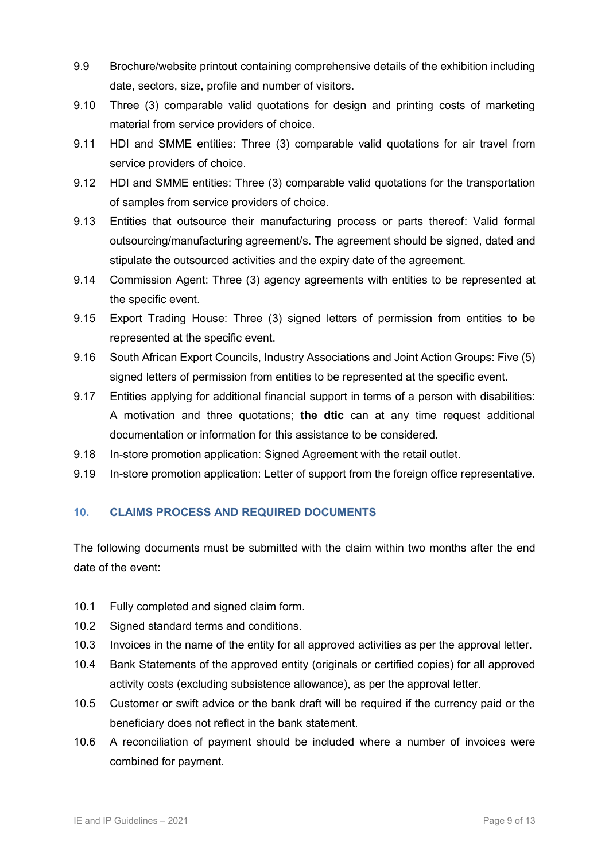- 9.9 Brochure/website printout containing comprehensive details of the exhibition including date, sectors, size, profile and number of visitors.
- 9.10 Three (3) comparable valid quotations for design and printing costs of marketing material from service providers of choice.
- 9.11 HDI and SMME entities: Three (3) comparable valid quotations for air travel from service providers of choice.
- 9.12 HDI and SMME entities: Three (3) comparable valid quotations for the transportation of samples from service providers of choice.
- 9.13 Entities that outsource their manufacturing process or parts thereof: Valid formal outsourcing/manufacturing agreement/s. The agreement should be signed, dated and stipulate the outsourced activities and the expiry date of the agreement.
- 9.14 Commission Agent: Three (3) agency agreements with entities to be represented at the specific event.
- 9.15 Export Trading House: Three (3) signed letters of permission from entities to be represented at the specific event.
- 9.16 South African Export Councils, Industry Associations and Joint Action Groups: Five (5) signed letters of permission from entities to be represented at the specific event.
- 9.17 Entities applying for additional financial support in terms of a person with disabilities: A motivation and three quotations; **the dtic** can at any time request additional documentation or information for this assistance to be considered.
- 9.18 In-store promotion application: Signed Agreement with the retail outlet.
- 9.19 In-store promotion application: Letter of support from the foreign office representative.

#### <span id="page-8-0"></span>**10. CLAIMS PROCESS AND REQUIRED DOCUMENTS**

The following documents must be submitted with the claim within two months after the end date of the event:

- 10.1 Fully completed and signed claim form.
- 10.2 Signed standard terms and conditions.
- 10.3 Invoices in the name of the entity for all approved activities as per the approval letter.
- 10.4 Bank Statements of the approved entity (originals or certified copies) for all approved activity costs (excluding subsistence allowance), as per the approval letter.
- 10.5 Customer or swift advice or the bank draft will be required if the currency paid or the beneficiary does not reflect in the bank statement.
- 10.6 A reconciliation of payment should be included where a number of invoices were combined for payment.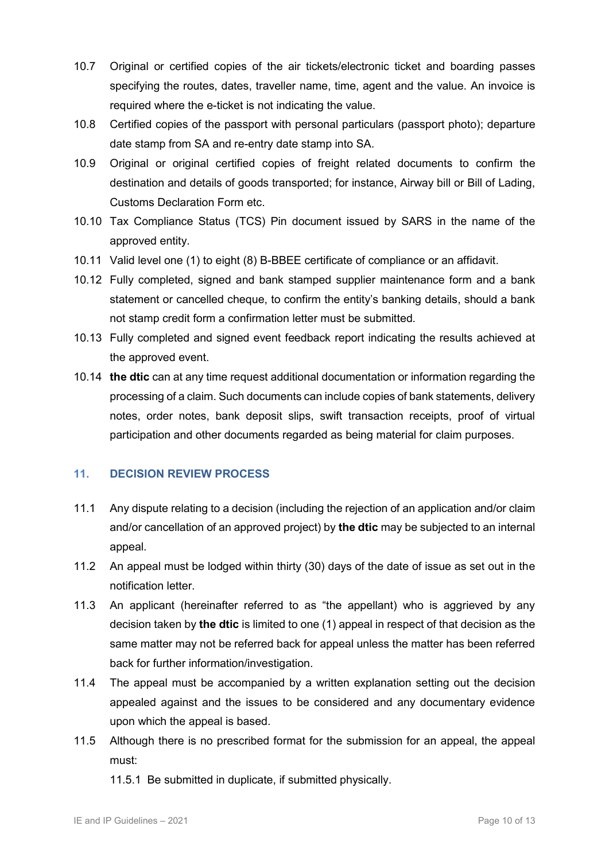- 10.7 Original or certified copies of the air tickets/electronic ticket and boarding passes specifying the routes, dates, traveller name, time, agent and the value. An invoice is required where the e-ticket is not indicating the value.
- 10.8 Certified copies of the passport with personal particulars (passport photo); departure date stamp from SA and re-entry date stamp into SA.
- 10.9 Original or original certified copies of freight related documents to confirm the destination and details of goods transported; for instance, Airway bill or Bill of Lading, Customs Declaration Form etc.
- 10.10 Tax Compliance Status (TCS) Pin document issued by SARS in the name of the approved entity.
- 10.11 Valid level one (1) to eight (8) B-BBEE certificate of compliance or an affidavit.
- 10.12 Fully completed, signed and bank stamped supplier maintenance form and a bank statement or cancelled cheque, to confirm the entity's banking details, should a bank not stamp credit form a confirmation letter must be submitted.
- 10.13 Fully completed and signed event feedback report indicating the results achieved at the approved event.
- 10.14 **the dtic** can at any time request additional documentation or information regarding the processing of a claim. Such documents can include copies of bank statements, delivery notes, order notes, bank deposit slips, swift transaction receipts, proof of virtual participation and other documents regarded as being material for claim purposes.

#### <span id="page-9-0"></span>**11. DECISION REVIEW PROCESS**

- 11.1 Any dispute relating to a decision (including the rejection of an application and/or claim and/or cancellation of an approved project) by **the dtic** may be subjected to an internal appeal.
- 11.2 An appeal must be lodged within thirty (30) days of the date of issue as set out in the notification letter.
- 11.3 An applicant (hereinafter referred to as "the appellant) who is aggrieved by any decision taken by **the dtic** is limited to one (1) appeal in respect of that decision as the same matter may not be referred back for appeal unless the matter has been referred back for further information/investigation.
- 11.4 The appeal must be accompanied by a written explanation setting out the decision appealed against and the issues to be considered and any documentary evidence upon which the appeal is based.
- 11.5 Although there is no prescribed format for the submission for an appeal, the appeal must:
	- 11.5.1 Be submitted in duplicate, if submitted physically.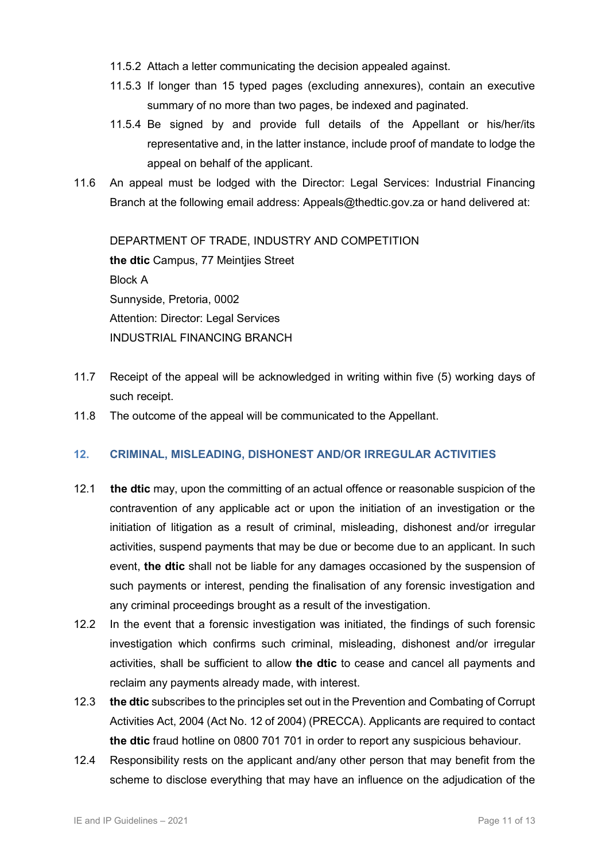- 11.5.2 Attach a letter communicating the decision appealed against.
- 11.5.3 If longer than 15 typed pages (excluding annexures), contain an executive summary of no more than two pages, be indexed and paginated.
- 11.5.4 Be signed by and provide full details of the Appellant or his/her/its representative and, in the latter instance, include proof of mandate to lodge the appeal on behalf of the applicant.
- 11.6 An appeal must be lodged with the Director: Legal Services: Industrial Financing Branch at the following email address: Appeals@thedtic.gov.za or hand delivered at:

DEPARTMENT OF TRADE, INDUSTRY AND COMPETITION **the dtic** Campus, 77 Meintjies Street Block A Sunnyside, Pretoria, 0002 Attention: Director: Legal Services INDUSTRIAL FINANCING BRANCH

- 11.7 Receipt of the appeal will be acknowledged in writing within five (5) working days of such receipt.
- 11.8 The outcome of the appeal will be communicated to the Appellant.

#### <span id="page-10-0"></span>**12. CRIMINAL, MISLEADING, DISHONEST AND/OR IRREGULAR ACTIVITIES**

- 12.1 **the dtic** may, upon the committing of an actual offence or reasonable suspicion of the contravention of any applicable act or upon the initiation of an investigation or the initiation of litigation as a result of criminal, misleading, dishonest and/or irregular activities, suspend payments that may be due or become due to an applicant. In such event, **the dtic** shall not be liable for any damages occasioned by the suspension of such payments or interest, pending the finalisation of any forensic investigation and any criminal proceedings brought as a result of the investigation.
- 12.2 In the event that a forensic investigation was initiated, the findings of such forensic investigation which confirms such criminal, misleading, dishonest and/or irregular activities, shall be sufficient to allow **the dtic** to cease and cancel all payments and reclaim any payments already made, with interest.
- 12.3 **the dtic** subscribes to the principles set out in the Prevention and Combating of Corrupt Activities Act, 2004 (Act No. 12 of 2004) (PRECCA). Applicants are required to contact **the dtic** fraud hotline on 0800 701 701 in order to report any suspicious behaviour.
- 12.4 Responsibility rests on the applicant and/any other person that may benefit from the scheme to disclose everything that may have an influence on the adjudication of the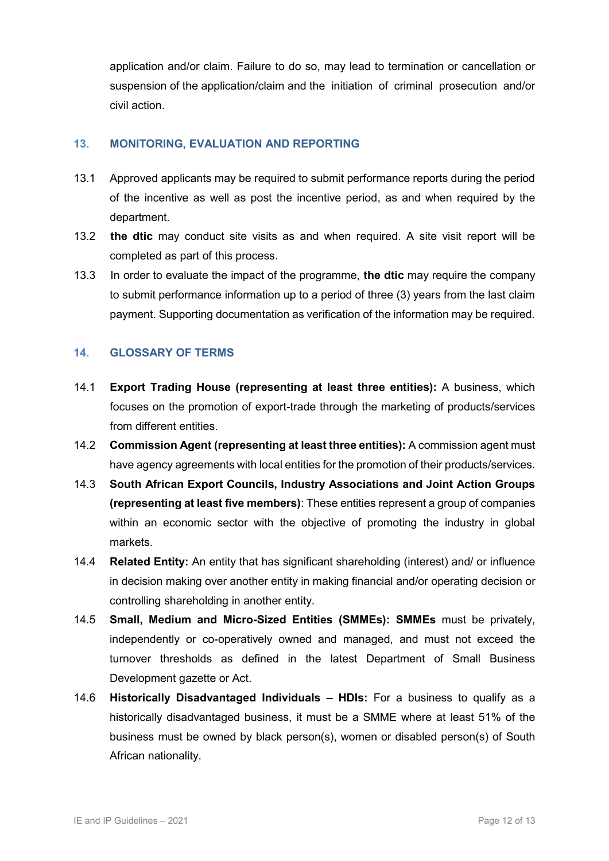application and/or claim. Failure to do so, may lead to termination or cancellation or suspension of the application/claim and the initiation of criminal prosecution and/or civil action.

#### <span id="page-11-0"></span>**13. MONITORING, EVALUATION AND REPORTING**

- 13.1 Approved applicants may be required to submit performance reports during the period of the incentive as well as post the incentive period, as and when required by the department.
- 13.2 **the dtic** may conduct site visits as and when required. A site visit report will be completed as part of this process.
- 13.3 In order to evaluate the impact of the programme, **the dtic** may require the company to submit performance information up to a period of three (3) years from the last claim payment. Supporting documentation as verification of the information may be required.

#### <span id="page-11-1"></span>**14. GLOSSARY OF TERMS**

- 14.1 **Export Trading House (representing at least three entities):** A business, which focuses on the promotion of export-trade through the marketing of products/services from different entities.
- 14.2 **Commission Agent (representing at least three entities):** A commission agent must have agency agreements with local entities for the promotion of their products/services.
- 14.3 **South African Export Councils, Industry Associations and Joint Action Groups (representing at least five members)**: These entities represent a group of companies within an economic sector with the objective of promoting the industry in global markets.
- 14.4 **Related Entity:** An entity that has significant shareholding (interest) and/ or influence in decision making over another entity in making financial and/or operating decision or controlling shareholding in another entity.
- 14.5 **Small, Medium and Micro-Sized Entities (SMMEs): SMMEs** must be privately, independently or co-operatively owned and managed, and must not exceed the turnover thresholds as defined in the latest Department of Small Business Development gazette or Act.
- 14.6 **Historically Disadvantaged Individuals – HDIs:** For a business to qualify as a historically disadvantaged business, it must be a SMME where at least 51% of the business must be owned by black person(s), women or disabled person(s) of South African nationality.